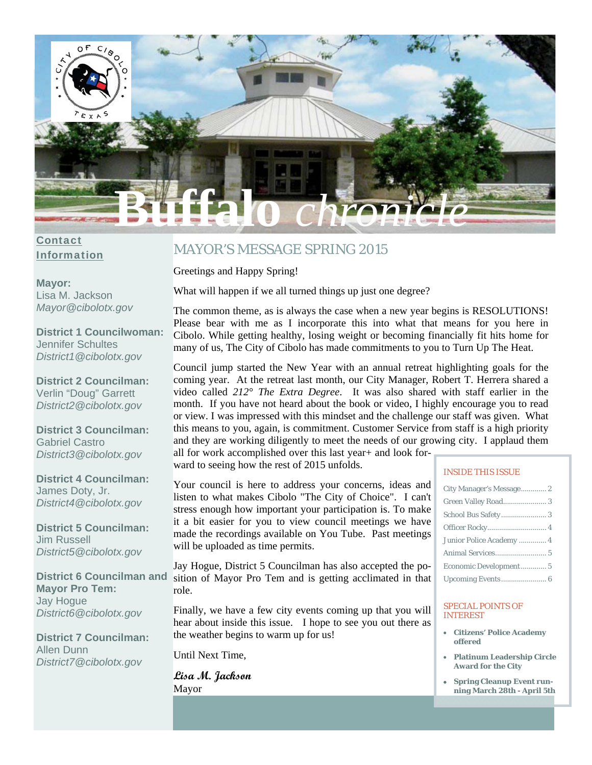

### Contact Information

**Mayor:**  Lisa M. Jackson *Mayor@cibolotx.gov* 

**District 1 Councilwoman:**  Jennifer Schultes *District1@cibolotx.gov* 

**District 2 Councilman:**  Verlin "Doug" Garrett *District2@cibolotx.gov* 

**District 3 Councilman:**  Gabriel Castro *District3@cibolotx.gov* 

**District 4 Councilman:**  James Doty, Jr. *District4@cibolotx.gov* 

**District 5 Councilman:**  Jim Russell *District5@cibolotx.gov* 

**District 6 Councilman and Mayor Pro Tem:**  Jay Hogue *District6@cibolotx.gov* 

**District 7 Councilman:**  Allen Dunn *District7@cibolotx.gov*

# MAYOR'S MESSAGE SPRING 2015

Greetings and Happy Spring!

What will happen if we all turned things up just one degree?

The common theme, as is always the case when a new year begins is RESOLUTIONS! Please bear with me as I incorporate this into what that means for you here in Cibolo. While getting healthy, losing weight or becoming financially fit hits home for many of us, The City of Cibolo has made commitments to you to Turn Up The Heat.

Council jump started the New Year with an annual retreat highlighting goals for the coming year. At the retreat last month, our City Manager, Robert T. Herrera shared a video called *212° The Extra Degree*. It was also shared with staff earlier in the month. If you have not heard about the book or video, I highly encourage you to read or view. I was impressed with this mindset and the challenge our staff was given. What this means to you, again, is commitment. Customer Service from staff is a high priority and they are working diligently to meet the needs of our growing city. I applaud them all for work accomplished over this last year+ and look for-

ward to seeing how the rest of 2015 unfolds.

Your council is here to address your concerns, ideas and listen to what makes Cibolo "The City of Choice". I can't stress enough how important your participation is. To make it a bit easier for you to view council meetings we have made the recordings available on You Tube. Past meetings will be uploaded as time permits.

Jay Hogue, District 5 Councilman has also accepted the position of Mayor Pro Tem and is getting acclimated in that role.

Finally, we have a few city events coming up that you will hear about inside this issue. I hope to see you out there as the weather begins to warm up for us!

Until Next Time,

**Lisa M. Jackson**  Mayor

#### INSIDE THIS ISSUE

| City Manager's Message 2 |
|--------------------------|
| Green Valley Road 3      |
|                          |
|                          |
| Junior Police Academy  4 |
|                          |
| Economic Development 5   |
|                          |

#### SPECIAL POINTS OF INTEREST

- **Citizens' Police Academy offered**
- **Platinum Leadership Circle Award for the City**
- **Spring Cleanup Event running March 28th - April 5th**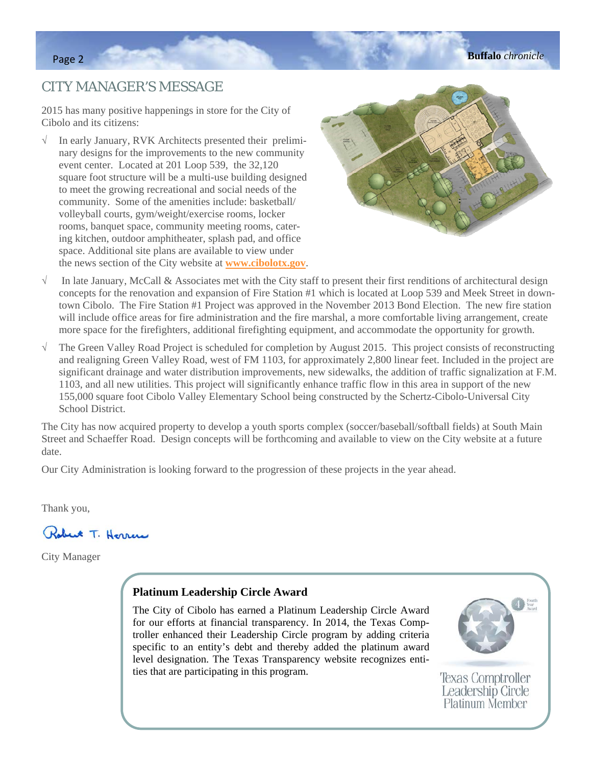# CITY MANAGER'S MESSAGE

2015 has many positive happenings in store for the City of Cibolo and its citizens:

 $\sqrt{\phantom{a}}$  In early January, RVK Architects presented their preliminary designs for the improvements to the new community event center. Located at 201 Loop 539, the 32,120 square foot structure will be a multi-use building designed to meet the growing recreational and social needs of the community. Some of the amenities include: basketball/ volleyball courts, gym/weight/exercise rooms, locker rooms, banquet space, community meeting rooms, catering kitchen, outdoor amphitheater, splash pad, and office space. Additional site plans are available to view under the news section of the City website at **www.cibolotx.gov**.



- $\sqrt{\phantom{a}}$  In late January, McCall & Associates met with the City staff to present their first renditions of architectural design concepts for the renovation and expansion of Fire Station #1 which is located at Loop 539 and Meek Street in downtown Cibolo. The Fire Station #1 Project was approved in the November 2013 Bond Election. The new fire station will include office areas for fire administration and the fire marshal, a more comfortable living arrangement, create more space for the firefighters, additional firefighting equipment, and accommodate the opportunity for growth.
- $\sqrt{\phantom{a}}$  The Green Valley Road Project is scheduled for completion by August 2015. This project consists of reconstructing and realigning Green Valley Road, west of FM 1103, for approximately 2,800 linear feet. Included in the project are significant drainage and water distribution improvements, new sidewalks, the addition of traffic signalization at F.M. 1103, and all new utilities. This project will significantly enhance traffic flow in this area in support of the new 155,000 square foot Cibolo Valley Elementary School being constructed by the Schertz-Cibolo-Universal City School District.

The City has now acquired property to develop a youth sports complex (soccer/baseball/softball fields) at South Main Street and Schaeffer Road. Design concepts will be forthcoming and available to view on the City website at a future date.

Our City Administration is looking forward to the progression of these projects in the year ahead.

Thank you,



City Manager

### **Platinum Leadership Circle Award**

The City of Cibolo has earned a Platinum Leadership Circle Award for our efforts at financial transparency. In 2014, the Texas Comptroller enhanced their Leadership Circle program by adding criteria specific to an entity's debt and thereby added the platinum award level designation. The Texas Transparency website recognizes entities that are participating in this program.



**Texas Comptroller** Leadership Circle Platinum Member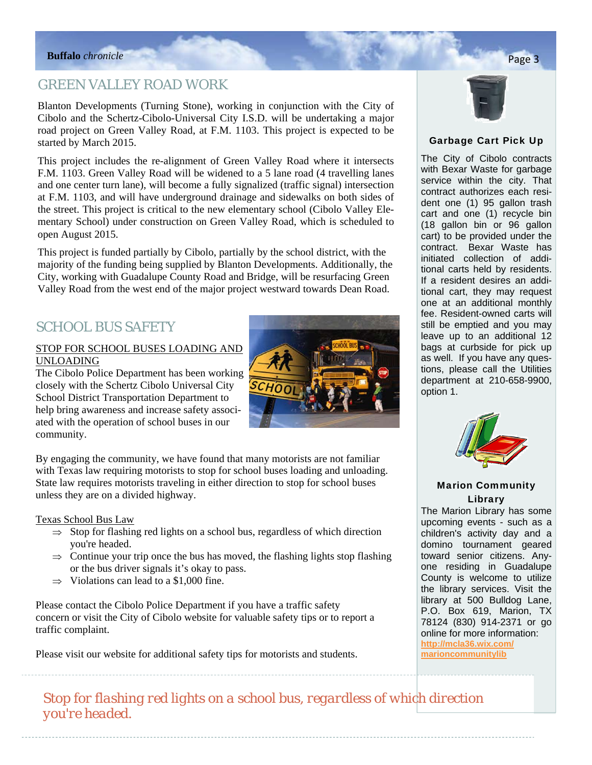# GREEN VALLEY ROAD WORK

Blanton Developments (Turning Stone), working in conjunction with the City of Cibolo and the Schertz-Cibolo-Universal City I.S.D. will be undertaking a major road project on Green Valley Road, at F.M. 1103. This project is expected to be started by March 2015.

This project includes the re-alignment of Green Valley Road where it intersects F.M. 1103. Green Valley Road will be widened to a 5 lane road (4 travelling lanes and one center turn lane), will become a fully signalized (traffic signal) intersection at F.M. 1103, and will have underground drainage and sidewalks on both sides of the street. This project is critical to the new elementary school (Cibolo Valley Elementary School) under construction on Green Valley Road, which is scheduled to open August 2015.

This project is funded partially by Cibolo, partially by the school district, with the majority of the funding being supplied by Blanton Developments. Additionally, the City, working with Guadalupe County Road and Bridge, will be resurfacing Green Valley Road from the west end of the major project westward towards Dean Road.

# SCHOOL BUS SAFETY

#### STOP FOR SCHOOL BUSES LOADING AND UNLOADING

The Cibolo Police Department has been working closely with the Schertz Cibolo Universal City School District Transportation Department to help bring awareness and increase safety associated with the operation of school buses in our community.



By engaging the community, we have found that many motorists are not familiar with Texas law requiring motorists to stop for school buses loading and unloading. State law requires motorists traveling in either direction to stop for school buses unless they are on a divided highway.

#### Texas School Bus Law

- $\Rightarrow$  Stop for flashing red lights on a school bus, regardless of which direction you're headed.
- $\Rightarrow$  Continue your trip once the bus has moved, the flashing lights stop flashing or the bus driver signals it's okay to pass.
- $\Rightarrow$  Violations can lead to a \$1,000 fine.

Please contact the Cibolo Police Department if you have a traffic safety concern or visit the City of Cibolo website for valuable safety tips or to report a traffic complaint.

Please visit our website for additional safety tips for motorists and students.



### Garbage Cart Pick Up

The City of Cibolo contracts with Bexar Waste for garbage service within the city. That contract authorizes each resident one (1) 95 gallon trash cart and one (1) recycle bin (18 gallon bin or 96 gallon cart) to be provided under the contract. Bexar Waste has initiated collection of additional carts held by residents. If a resident desires an additional cart, they may request one at an additional monthly fee. Resident-owned carts will still be emptied and you may leave up to an additional 12 bags at curbside for pick up as well. If you have any questions, please call the Utilities department at 210-658-9900, option 1.



### Marion Community Library

The Marion Library has some upcoming events - such as a children's activity day and a domino tournament geared toward senior citizens. Anyone residing in Guadalupe County is welcome to utilize the library services. Visit the library at 500 Bulldog Lane, P.O. Box 619, Marion, TX 78124 (830) 914-2371 or go online for more information: **http://mcla36.wix.com/ marioncommunitylib**

*Stop for flashing red lights on a school bus, regardless of which direction you're headed.*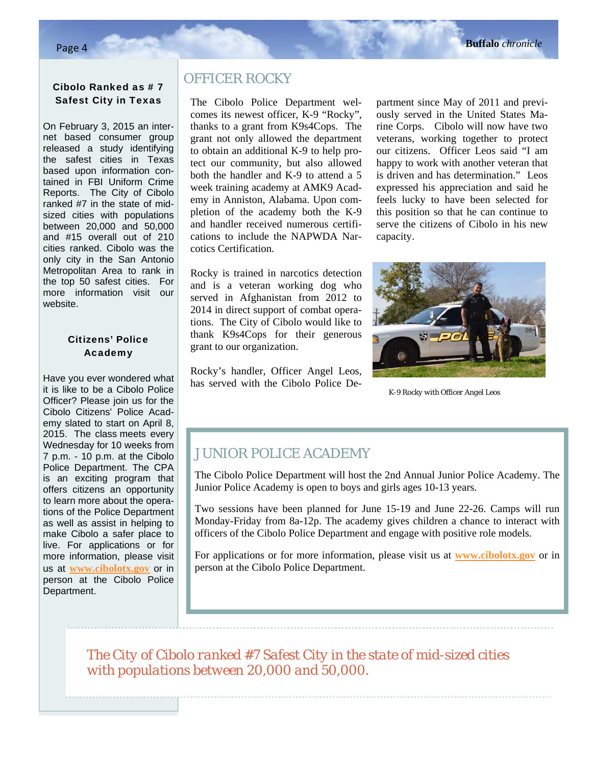### Cibolo Ranked as # 7 Safest City in Texas

On February 3, 2015 an internet based consumer group released a study identifying the safest cities in Texas based upon information contained in FBI Uniform Crime Reports. The City of Cibolo ranked #7 in the state of midsized cities with populations between 20,000 and 50,000 and #15 overall out of 210 cities ranked. Cibolo was the only city in the San Antonio Metropolitan Area to rank in the top 50 safest cities. For more information visit our website.

### Citizens' Police Academy

Have you ever wondered what it is like to be a Cibolo Police Officer? Please join us for the Cibolo Citizens' Police Academy slated to start on April 8, 2015. The class meets every Wednesday for 10 weeks from 7 p.m. - 10 p.m. at the Cibolo Police Department. The CPA is an exciting program that offers citizens an opportunity to learn more about the operations of the Police Department as well as assist in helping to make Cibolo a safer place to live. For applications or for more information, please visit us at **www.cibolotx.gov** or in person at the Cibolo Police Department.

í

# OFFICER ROCKY

The Cibolo Police Department welcomes its newest officer, K-9 "Rocky", thanks to a grant from K9s4Cops. The grant not only allowed the department to obtain an additional K-9 to help protect our community, but also allowed both the handler and K-9 to attend a 5 week training academy at AMK9 Academy in Anniston, Alabama. Upon completion of the academy both the K-9 and handler received numerous certifications to include the NAPWDA Narcotics Certification.

Rocky is trained in narcotics detection and is a veteran working dog who served in Afghanistan from 2012 to 2014 in direct support of combat operations. The City of Cibolo would like to thank K9s4Cops for their generous grant to our organization.

Rocky's handler, Officer Angel Leos, has served with the Cibolo Police Department since May of 2011 and previously served in the United States Marine Corps. Cibolo will now have two veterans, working together to protect our citizens. Officer Leos said "I am happy to work with another veteran that is driven and has determination." Leos expressed his appreciation and said he feels lucky to have been selected for this position so that he can continue to serve the citizens of Cibolo in his new capacity.



*K-9 Rocky with Officer Angel Leos* 

# JUNIOR POLICE ACADEMY

The Cibolo Police Department will host the 2nd Annual Junior Police Academy. The Junior Police Academy is open to boys and girls ages 10-13 years.

Two sessions have been planned for June 15-19 and June 22-26. Camps will run Monday-Friday from 8a-12p. The academy gives children a chance to interact with officers of the Cibolo Police Department and engage with positive role models.

For applications or for more information, please visit us at **www.cibolotx.gov** or in person at the Cibolo Police Department.

*The City of Cibolo ranked #7 Safest City in the state of mid-sized cities with populations between 20,000 and 50,000.*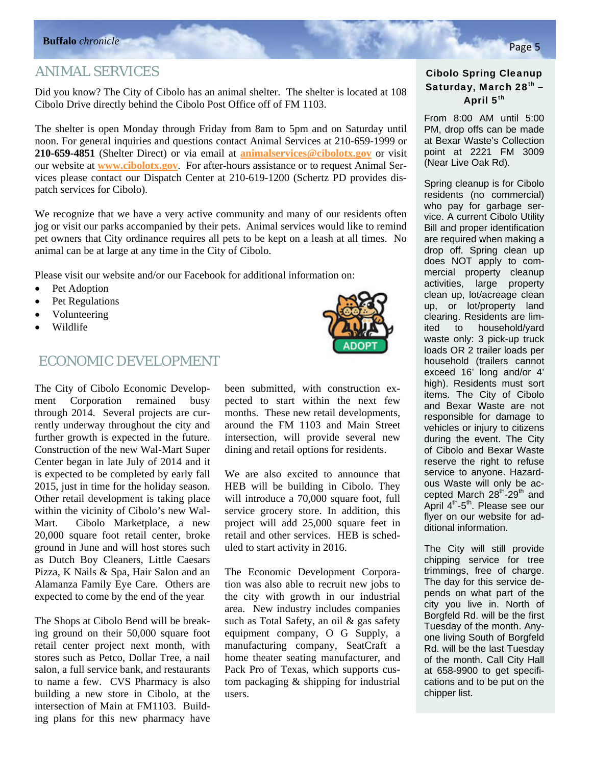## ANIMAL SERVICES

Did you know? The City of Cibolo has an animal shelter. The shelter is located at 108 Cibolo Drive directly behind the Cibolo Post Office off of FM 1103.

The shelter is open Monday through Friday from 8am to 5pm and on Saturday until noon. For general inquiries and questions contact Animal Services at 210-659-1999 or **210-659-4851** (Shelter Direct) or via email at **animalservices@cibolotx.gov** or visit our website at **www.cibolotx.gov**. For after-hours assistance or to request Animal Services please contact our Dispatch Center at 210-619-1200 (Schertz PD provides dispatch services for Cibolo).

We recognize that we have a very active community and many of our residents often jog or visit our parks accompanied by their pets. Animal services would like to remind pet owners that City ordinance requires all pets to be kept on a leash at all times. No animal can be at large at any time in the City of Cibolo.

Please visit our website and/or our Facebook for additional information on:

- Pet Adoption
- Pet Regulations
- Volunteering
- Wildlife

### ECONOMIC DEVELOPMENT

The City of Cibolo Economic Development Corporation remained busy through 2014. Several projects are currently underway throughout the city and further growth is expected in the future. Construction of the new Wal-Mart Super Center began in late July of 2014 and it is expected to be completed by early fall 2015, just in time for the holiday season. Other retail development is taking place within the vicinity of Cibolo's new Wal-Mart. Cibolo Marketplace, a new 20,000 square foot retail center, broke ground in June and will host stores such as Dutch Boy Cleaners, Little Caesars Pizza, K Nails & Spa, Hair Salon and an Alamanza Family Eye Care. Others are expected to come by the end of the year.

The Shops at Cibolo Bend will be breaking ground on their 50,000 square foot retail center project next month, with stores such as Petco, Dollar Tree, a nail salon, a full service bank, and restaurants to name a few. CVS Pharmacy is also building a new store in Cibolo, at the intersection of Main at FM1103. Building plans for this new pharmacy have been submitted, with construction expected to start within the next few months. These new retail developments, around the FM 1103 and Main Street intersection, will provide several new dining and retail options for residents.

We are also excited to announce that HEB will be building in Cibolo. They will introduce a 70,000 square foot, full service grocery store. In addition, this project will add 25,000 square feet in retail and other services. HEB is scheduled to start activity in 2016.

The Economic Development Corporation was also able to recruit new jobs to the city with growth in our industrial area. New industry includes companies such as Total Safety, an oil & gas safety equipment company, O G Supply, a manufacturing company, SeatCraft a home theater seating manufacturer, and Pack Pro of Texas, which supports custom packaging & shipping for industrial users.

### Cibolo Spring Cleanup Saturday, March 28<sup>th</sup> -April 5<sup>th</sup>

From 8:00 AM until 5:00 PM, drop offs can be made at Bexar Waste's Collection point at 2221 FM 3009 (Near Live Oak Rd).

Spring cleanup is for Cibolo residents (no commercial) who pay for garbage service. A current Cibolo Utility Bill and proper identification are required when making a drop off. Spring clean up does NOT apply to commercial property cleanup activities, large property clean up, lot/acreage clean up, or lot/property land clearing. Residents are limited to household/yard waste only: 3 pick-up truck loads OR 2 trailer loads per household (trailers cannot exceed 16' long and/or 4' high). Residents must sort items. The City of Cibolo and Bexar Waste are not responsible for damage to vehicles or injury to citizens during the event. The City of Cibolo and Bexar Waste reserve the right to refuse service to anyone. Hazardous Waste will only be accepted March 28<sup>th</sup>-29<sup>th</sup> and April 4<sup>th</sup>-5<sup>th</sup>. Please see our flyer on our website for additional information.

The City will still provide chipping service for tree trimmings, free of charge. The day for this service depends on what part of the city you live in. North of Borgfeld Rd. will be the first Tuesday of the month. Anyone living South of Borgfeld Rd. will be the last Tuesday of the month. Call City Hall at 658-9900 to get specifications and to be put on the chipper list.